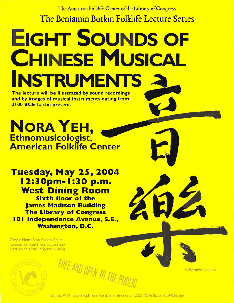The American Folklife Center of the Library of Congress The Benjamin Botkin Folklife Lecture Series

## **EIGHT SOUNDS OF CHINESE MUSICAL INSTRUMENTS 2**

The lecture will be illustrated by sound recordings and by images of musical instruments dating from 2100 BCE to the present.

NORA YEH,

**Tuesday, May 25, 2004** 12:30pm-1:30 p.m. **West Dining Room Sixth floor of the James Madison Building The Library of Congress** 101 Independence Avenue, S.E., **Washington, D.C.** 

Closest Metro Stop: Capitol South (orange and blue lines), located one block south of the Jefferson Building



Calligrapher: Judy Lu

FREE AND OPEN TO THE PUBLIC